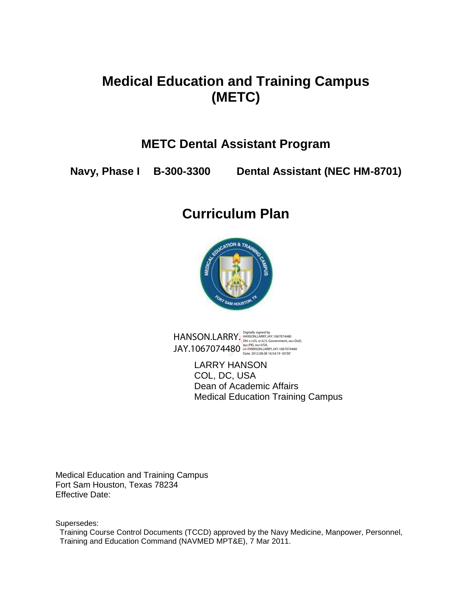# **Medical Education and Training Campus (METC)**

# **METC Dental Assistant Program**

**Navy, Phase I B-300-3300 Dental Assistant (NEC HM-8701)**

# **Curriculum Plan**



HANSON.LARRY. JAY.1067074480 Digitally signed by<br>HANSON.LARRY.JAY.1067074480<br>DN: c=US, o=U.S. Government, ou=DoD,<br>ou=PKI, ou=USA,<br>cn=HANSON.LARRY.JAY.1067074480<br>Date: 2012.08.08 16:54:19 -05'00'

> LARRY HANSON COL, DC, USA Dean of Academic Affairs Medical Education Training Campus

Medical Education and Training Campus Fort Sam Houston, Texas 78234 Effective Date:

Supersedes:

 Training Course Control Documents (TCCD) approved by the Navy Medicine, Manpower, Personnel, Training and Education Command (NAVMED MPT&E), 7 Mar 2011.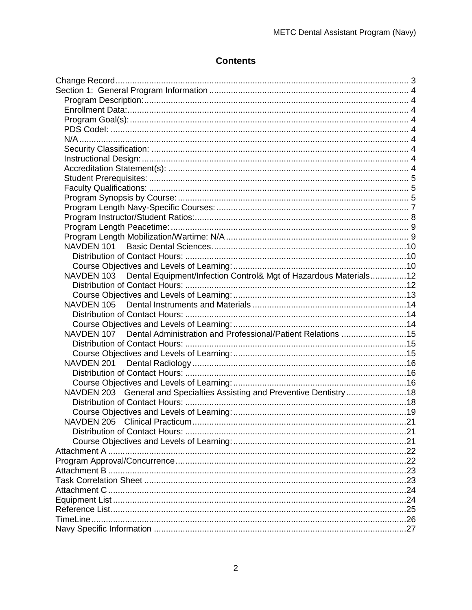## **Contents**

| NAVDEN 103 Dental Equipment/Infection Control& Mgt of Hazardous Materials12 |  |
|-----------------------------------------------------------------------------|--|
|                                                                             |  |
|                                                                             |  |
|                                                                             |  |
|                                                                             |  |
|                                                                             |  |
| NAVDEN 107 Dental Administration and Professional/Patient Relations 15      |  |
|                                                                             |  |
|                                                                             |  |
| NAVDEN 201                                                                  |  |
|                                                                             |  |
|                                                                             |  |
| NAVDEN 203 General and Specialties Assisting and Preventive Dentistry18     |  |
|                                                                             |  |
|                                                                             |  |
|                                                                             |  |
|                                                                             |  |
|                                                                             |  |
|                                                                             |  |
|                                                                             |  |
|                                                                             |  |
|                                                                             |  |
|                                                                             |  |
|                                                                             |  |
|                                                                             |  |
|                                                                             |  |
|                                                                             |  |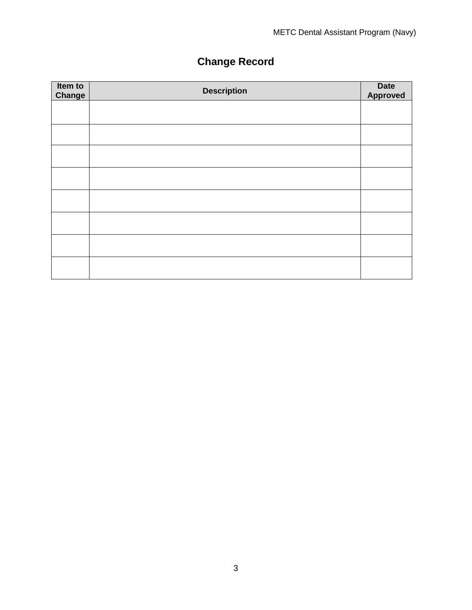# **Change Record**

<span id="page-2-0"></span>

| Item to<br>Change | <b>Description</b> | Date<br>Approved |
|-------------------|--------------------|------------------|
|                   |                    |                  |
|                   |                    |                  |
|                   |                    |                  |
|                   |                    |                  |
|                   |                    |                  |
|                   |                    |                  |
|                   |                    |                  |
|                   |                    |                  |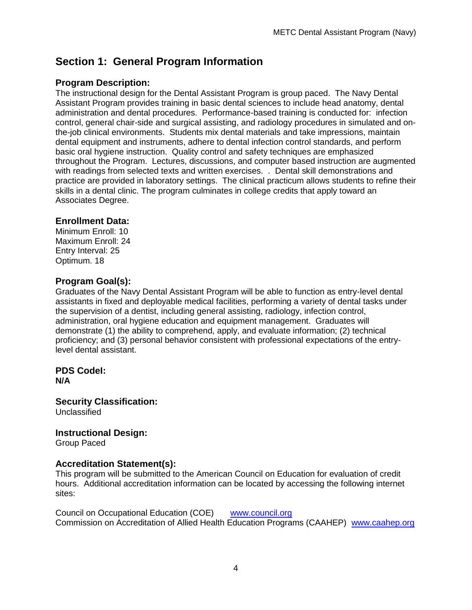## <span id="page-3-0"></span>**Section 1: General Program Information**

### <span id="page-3-1"></span>**Program Description:**

The instructional design for the Dental Assistant Program is group paced. The Navy Dental Assistant Program provides training in basic dental sciences to include head anatomy, dental administration and dental procedures. Performance-based training is conducted for: infection control, general chair-side and surgical assisting, and radiology procedures in simulated and onthe-job clinical environments. Students mix dental materials and take impressions, maintain dental equipment and instruments, adhere to dental infection control standards, and perform basic oral hygiene instruction. Quality control and safety techniques are emphasized throughout the Program. Lectures, discussions, and computer based instruction are augmented with readings from selected texts and written exercises. . Dental skill demonstrations and practice are provided in laboratory settings. The clinical practicum allows students to refine their skills in a dental clinic. The program culminates in college credits that apply toward an Associates Degree.

#### <span id="page-3-2"></span>**Enrollment Data:**

Minimum Enroll: 10 Maximum Enroll: 24 Entry Interval: 25 Optimum. 18

#### <span id="page-3-3"></span>**Program Goal(s):**

Graduates of the Navy Dental Assistant Program will be able to function as entry-level dental assistants in fixed and deployable medical facilities, performing a variety of dental tasks under the supervision of a dentist, including general assisting, radiology, infection control, administration, oral hygiene education and equipment management. Graduates will demonstrate (1) the ability to comprehend, apply, and evaluate information; (2) technical proficiency; and (3) personal behavior consistent with professional expectations of the entrylevel dental assistant.

#### <span id="page-3-5"></span><span id="page-3-4"></span>**PDS CodeI: N/A**

<span id="page-3-6"></span>**Security Classification: Unclassified** 

#### <span id="page-3-7"></span>**Instructional Design:**

Group Paced

#### <span id="page-3-8"></span>**Accreditation Statement(s):**

This program will be submitted to the American Council on Education for evaluation of credit hours. Additional accreditation information can be located by accessing the following internet sites:

Council on Occupational Education (COE) [www.council.org](http://www.council.org/) Commission on Accreditation of Allied Health Education Programs (CAAHEP) [www.caahep.org](http://www.caahep.org/)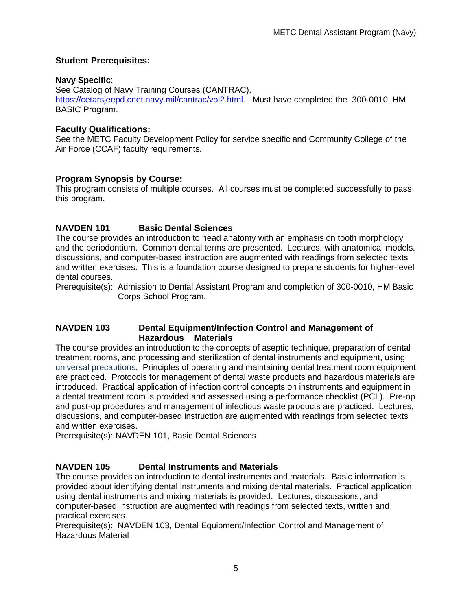#### <span id="page-4-0"></span>**Student Prerequisites:**

#### **Navy Specific**:

See Catalog of Navy Training Courses (CANTRAC). [https://cetarsjeepd.cnet.navy.mil/cantrac/vol2.html.](https://cetarsjeepd.cnet.navy.mil/cantrac/vol2.html) Must have completed the 300-0010, HM BASIC Program.

### <span id="page-4-1"></span>**Faculty Qualifications:**

See the METC Faculty Development Policy for service specific and Community College of the Air Force (CCAF) faculty requirements.

### <span id="page-4-2"></span>**Program Synopsis by Course:**

This program consists of multiple courses. All courses must be completed successfully to pass this program.

### **NAVDEN 101 Basic Dental Sciences**

The course provides an introduction to head anatomy with an emphasis on tooth morphology and the periodontium. Common dental terms are presented. Lectures, with anatomical models, discussions, and computer-based instruction are augmented with readings from selected texts and written exercises. This is a foundation course designed to prepare students for higher-level dental courses.

Prerequisite(s): Admission to Dental Assistant Program and completion of 300-0010, HM Basic Corps School Program.

### **NAVDEN 103 Dental Equipment/Infection Control and Management of Hazardous Materials**

The course provides an introduction to the concepts of aseptic technique, preparation of dental treatment rooms, and processing and sterilization of dental instruments and equipment, using universal precautions. Principles of operating and maintaining dental treatment room equipment are practiced. Protocols for management of dental waste products and hazardous materials are introduced. Practical application of infection control concepts on instruments and equipment in a dental treatment room is provided and assessed using a performance checklist (PCL). Pre-op and post-op procedures and management of infectious waste products are practiced. Lectures, discussions, and computer-based instruction are augmented with readings from selected texts and written exercises.

Prerequisite(s): NAVDEN 101, Basic Dental Sciences

### **NAVDEN 105 Dental Instruments and Materials**

The course provides an introduction to dental instruments and materials. Basic information is provided about identifying dental instruments and mixing dental materials. Practical application using dental instruments and mixing materials is provided. Lectures, discussions, and computer-based instruction are augmented with readings from selected texts, written and practical exercises.

Prerequisite(s): NAVDEN 103, Dental Equipment/Infection Control and Management of Hazardous Material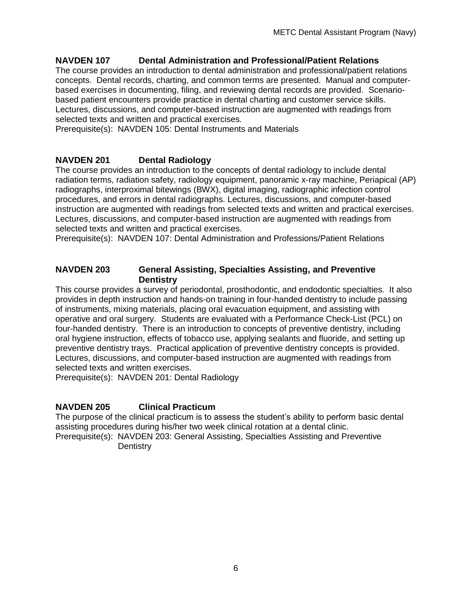#### **NAVDEN 107 Dental Administration and Professional/Patient Relations**

The course provides an introduction to dental administration and professional/patient relations concepts. Dental records, charting, and common terms are presented. Manual and computerbased exercises in documenting, filing, and reviewing dental records are provided. Scenariobased patient encounters provide practice in dental charting and customer service skills. Lectures, discussions, and computer-based instruction are augmented with readings from selected texts and written and practical exercises.

Prerequisite(s): NAVDEN 105: Dental Instruments and Materials

#### **NAVDEN 201 Dental Radiology**

The course provides an introduction to the concepts of dental radiology to include dental radiation terms, radiation safety, radiology equipment, panoramic x-ray machine, Periapical (AP) radiographs, interproximal bitewings (BWX), digital imaging, radiographic infection control procedures, and errors in dental radiographs. Lectures, discussions, and computer-based instruction are augmented with readings from selected texts and written and practical exercises. Lectures, discussions, and computer-based instruction are augmented with readings from selected texts and written and practical exercises.

Prerequisite(s): NAVDEN 107: Dental Administration and Professions/Patient Relations

#### **NAVDEN 203 General Assisting, Specialties Assisting, and Preventive Dentistry**

This course provides a survey of periodontal, prosthodontic, and endodontic specialties. It also provides in depth instruction and hands-on training in four-handed dentistry to include passing of instruments, mixing materials, placing oral evacuation equipment, and assisting with operative and oral surgery. Students are evaluated with a Performance Check-List (PCL) on four-handed dentistry. There is an introduction to concepts of preventive dentistry, including oral hygiene instruction, effects of tobacco use, applying sealants and fluoride, and setting up preventive dentistry trays. Practical application of preventive dentistry concepts is provided. Lectures, discussions, and computer-based instruction are augmented with readings from selected texts and written exercises.

Prerequisite(s): NAVDEN 201: Dental Radiology

#### **NAVDEN 205 Clinical Practicum**

The purpose of the clinical practicum is to assess the student's ability to perform basic dental assisting procedures during his/her two week clinical rotation at a dental clinic. Prerequisite(s): NAVDEN 203: General Assisting, Specialties Assisting and Preventive **Dentistry**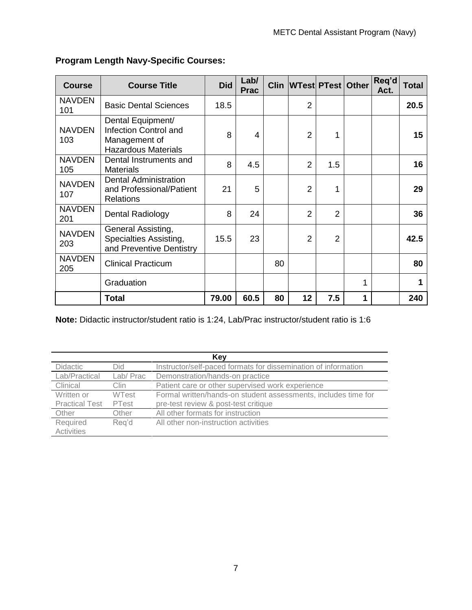| <b>Course</b>        | <b>Course Title</b>                                                                       | <b>Did</b> | Lab/<br><b>Prac</b> |    | Clin WTest PTest   Other |                |             | Req'd<br>Act. | Total |
|----------------------|-------------------------------------------------------------------------------------------|------------|---------------------|----|--------------------------|----------------|-------------|---------------|-------|
| <b>NAVDEN</b><br>101 | <b>Basic Dental Sciences</b>                                                              | 18.5       |                     |    | $\overline{2}$           |                |             |               | 20.5  |
| <b>NAVDEN</b><br>103 | Dental Equipment/<br>Infection Control and<br>Management of<br><b>Hazardous Materials</b> | 8          | 4                   |    | $\overline{2}$           | 1              |             |               | 15    |
| <b>NAVDEN</b><br>105 | Dental Instruments and<br><b>Materials</b>                                                | 8          | 4.5                 |    | $\overline{2}$           | 1.5            |             |               | 16    |
| <b>NAVDEN</b><br>107 | <b>Dental Administration</b><br>and Professional/Patient<br><b>Relations</b>              | 21         | 5                   |    | $\overline{2}$           | 1              |             |               | 29    |
| <b>NAVDEN</b><br>201 | Dental Radiology                                                                          | 8          | 24                  |    | $\overline{2}$           | $\overline{2}$ |             |               | 36    |
| <b>NAVDEN</b><br>203 | General Assisting,<br>Specialties Assisting,<br>and Preventive Dentistry                  | 15.5       | 23                  |    | $\overline{2}$           | $\overline{2}$ |             |               | 42.5  |
| <b>NAVDEN</b><br>205 | <b>Clinical Practicum</b>                                                                 |            |                     | 80 |                          |                |             |               | 80    |
|                      | Graduation                                                                                |            |                     |    |                          |                | 1           |               |       |
|                      | <b>Total</b>                                                                              | 79.00      | 60.5                | 80 | 12                       | 7.5            | $\mathbf 1$ |               | 240   |

### <span id="page-6-0"></span>**Program Length Navy-Specific Courses:**

**Note:** Didactic instructor/student ratio is 1:24, Lab/Prac instructor/student ratio is 1:6

| Key                   |              |                                                                |  |  |  |  |
|-----------------------|--------------|----------------------------------------------------------------|--|--|--|--|
| <b>Didactic</b>       | Did          | Instructor/self-paced formats for dissemination of information |  |  |  |  |
| Lab/Practical         | Lab/Prac     | Demonstration/hands-on practice                                |  |  |  |  |
| Clinical              | Clin         | Patient care or other supervised work experience               |  |  |  |  |
| Written or            | <b>WTest</b> | Formal written/hands-on student assessments, includes time for |  |  |  |  |
| <b>Practical Test</b> | PTest        | pre-test review & post-test critique                           |  |  |  |  |
| Other                 | Other        | All other formats for instruction                              |  |  |  |  |
| Required              | Reg'd        | All other non-instruction activities                           |  |  |  |  |
| Activities            |              |                                                                |  |  |  |  |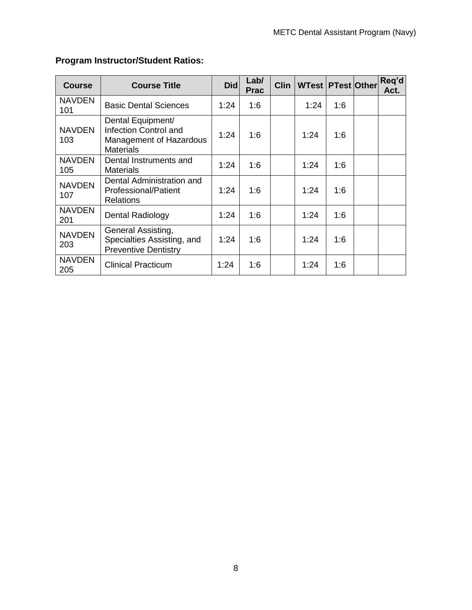| <b>Course</b>        | <b>Course Title</b>                                                                       | <b>Did</b> | Lab/<br><b>Prac</b> | <b>Clin</b> | <b>WTest   PTest   Other </b> |     | Req'd<br>Act. |
|----------------------|-------------------------------------------------------------------------------------------|------------|---------------------|-------------|-------------------------------|-----|---------------|
| <b>NAVDEN</b><br>101 | <b>Basic Dental Sciences</b>                                                              | 1:24       | 1:6                 |             | 1:24                          | 1:6 |               |
| <b>NAVDEN</b><br>103 | Dental Equipment/<br>Infection Control and<br>Management of Hazardous<br><b>Materials</b> | 1:24       | 1:6                 |             | 1:24                          | 1:6 |               |
| <b>NAVDEN</b><br>105 | Dental Instruments and<br><b>Materials</b>                                                | 1:24       | 1:6                 |             | 1:24                          | 1:6 |               |
| <b>NAVDEN</b><br>107 | Dental Administration and<br><b>Professional/Patient</b><br><b>Relations</b>              | 1:24       | 1:6                 |             | 1:24                          | 1:6 |               |
| <b>NAVDEN</b><br>201 | <b>Dental Radiology</b>                                                                   | 1:24       | 1:6                 |             | 1:24                          | 1:6 |               |
| <b>NAVDEN</b><br>203 | General Assisting,<br>Specialties Assisting, and<br><b>Preventive Dentistry</b>           | 1:24       | 1:6                 |             | 1:24                          | 1:6 |               |
| <b>NAVDEN</b><br>205 | <b>Clinical Practicum</b>                                                                 | 1:24       | 1:6                 |             | 1:24                          | 1:6 |               |

## <span id="page-7-0"></span>**Program Instructor/Student Ratios:**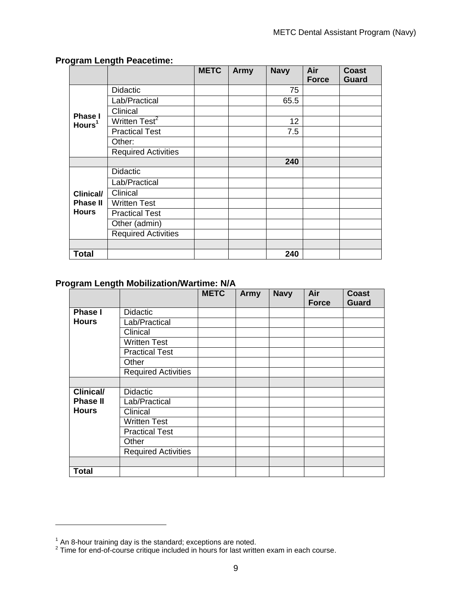|                                      |                            | <b>METC</b> | <b>Army</b> | <b>Navy</b> | Air          | <b>Coast</b> |
|--------------------------------------|----------------------------|-------------|-------------|-------------|--------------|--------------|
|                                      |                            |             |             |             | <b>Force</b> | Guard        |
|                                      | <b>Didactic</b>            |             |             | 75          |              |              |
|                                      | Lab/Practical              |             |             | 65.5        |              |              |
|                                      | Clinical                   |             |             |             |              |              |
| <b>Phase I</b><br>Hours <sup>1</sup> | Written Test <sup>2</sup>  |             |             | 12          |              |              |
|                                      | <b>Practical Test</b>      |             |             | 7.5         |              |              |
|                                      | Other:                     |             |             |             |              |              |
|                                      | <b>Required Activities</b> |             |             |             |              |              |
|                                      |                            |             |             | 240         |              |              |
|                                      | <b>Didactic</b>            |             |             |             |              |              |
|                                      | Lab/Practical              |             |             |             |              |              |
| <b>Clinical/</b>                     | Clinical                   |             |             |             |              |              |
| <b>Phase II</b>                      | <b>Written Test</b>        |             |             |             |              |              |
| <b>Hours</b>                         | <b>Practical Test</b>      |             |             |             |              |              |
|                                      | Other (admin)              |             |             |             |              |              |
|                                      | <b>Required Activities</b> |             |             |             |              |              |
|                                      |                            |             |             |             |              |              |
| Total                                |                            |             |             | 240         |              |              |

### <span id="page-8-0"></span>**Program Length Peacetime:**

### <span id="page-8-1"></span>**Program Length Mobilization/Wartime: N/A**

|                  |                            | <b>METC</b> | <b>Army</b> | <b>Navy</b> | Air<br><b>Force</b> | <b>Coast</b><br>Guard |
|------------------|----------------------------|-------------|-------------|-------------|---------------------|-----------------------|
|                  |                            |             |             |             |                     |                       |
| <b>Phase I</b>   | <b>Didactic</b>            |             |             |             |                     |                       |
| <b>Hours</b>     | Lab/Practical              |             |             |             |                     |                       |
|                  | Clinical                   |             |             |             |                     |                       |
|                  | <b>Written Test</b>        |             |             |             |                     |                       |
|                  | <b>Practical Test</b>      |             |             |             |                     |                       |
|                  | Other                      |             |             |             |                     |                       |
|                  | <b>Required Activities</b> |             |             |             |                     |                       |
|                  |                            |             |             |             |                     |                       |
| <b>Clinical/</b> | <b>Didactic</b>            |             |             |             |                     |                       |
| <b>Phase II</b>  | Lab/Practical              |             |             |             |                     |                       |
| <b>Hours</b>     | Clinical                   |             |             |             |                     |                       |
|                  | Written Test               |             |             |             |                     |                       |
|                  | <b>Practical Test</b>      |             |             |             |                     |                       |
|                  | Other                      |             |             |             |                     |                       |
|                  | <b>Required Activities</b> |             |             |             |                     |                       |
|                  |                            |             |             |             |                     |                       |
| <b>Total</b>     |                            |             |             |             |                     |                       |

 $\overline{a}$ 

 $^{\rm 1}$  An 8-hour training day is the standard; exceptions are noted.<br><sup>2</sup> Time for end-of-course critique included in hours for last written exam in each course.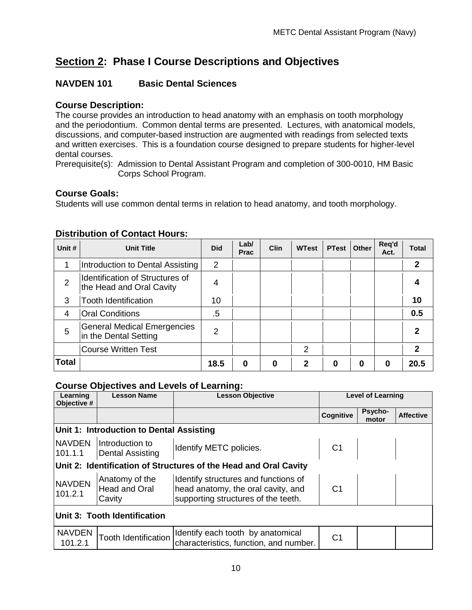# **Section 2: Phase I Course Descriptions and Objectives**

### <span id="page-9-0"></span>**NAVDEN 101 Basic Dental Sciences**

### **Course Description:**

The course provides an introduction to head anatomy with an emphasis on tooth morphology and the periodontium. Common dental terms are presented. Lectures, with anatomical models, discussions, and computer-based instruction are augmented with readings from selected texts and written exercises. This is a foundation course designed to prepare students for higher-level dental courses.

Prerequisite(s): Admission to Dental Assistant Program and completion of 300-0010, HM Basic Corps School Program.

### **Course Goals:**

Students will use common dental terms in relation to head anatomy, and tooth morphology.

| Unit #         | <b>Unit Title</b>                                                  | <b>Did</b>     | Lab/<br><b>Prac</b> | <b>Clin</b> | <b>WTest</b> | <b>PTest</b> | Other | Req'd<br>Act. | <b>Total</b> |
|----------------|--------------------------------------------------------------------|----------------|---------------------|-------------|--------------|--------------|-------|---------------|--------------|
|                | Introduction to Dental Assisting                                   | $\overline{2}$ |                     |             |              |              |       |               | 2            |
| $\overline{2}$ | <b>Identification of Structures of</b><br>the Head and Oral Cavity | 4              |                     |             |              |              |       |               |              |
| 3              | <b>Tooth Identification</b>                                        | 10             |                     |             |              |              |       |               | 10           |
| 4              | <b>Oral Conditions</b>                                             | $.5\,$         |                     |             |              |              |       |               | 0.5          |
| 5              | <b>General Medical Emergencies</b><br>in the Dental Setting        | 2              |                     |             |              |              |       |               | 2            |
|                | <b>Course Written Test</b>                                         |                |                     |             | 2            |              |       |               | 2            |
| <b>Total</b>   |                                                                    | 18.5           | 0                   | 0           | 2            | ŋ            | 0     | 0             | 20.5         |

### <span id="page-9-1"></span>**Distribution of Contact Hours:**

<span id="page-9-2"></span>

| Learning<br>Objective #      | <b>Lesson Name</b>                         | <b>Lesson Objective</b>                                                                                           |                | <b>Level of Learning</b> |                  |  |  |  |  |
|------------------------------|--------------------------------------------|-------------------------------------------------------------------------------------------------------------------|----------------|--------------------------|------------------|--|--|--|--|
|                              |                                            |                                                                                                                   | Cognitive      | Psycho-<br>motor         | <b>Affective</b> |  |  |  |  |
|                              | Unit 1: Introduction to Dental Assisting   |                                                                                                                   |                |                          |                  |  |  |  |  |
| <b>NAVDEN</b><br>101.1.1     | Introduction to<br><b>Dental Assisting</b> | Identify METC policies.                                                                                           | C1             |                          |                  |  |  |  |  |
|                              |                                            | Unit 2: Identification of Structures of the Head and Oral Cavity                                                  |                |                          |                  |  |  |  |  |
| <b>NAVDEN</b><br>101.2.1     | Anatomy of the<br>Head and Oral<br>Cavity  | Identify structures and functions of<br>head anatomy, the oral cavity, and<br>supporting structures of the teeth. | C <sub>1</sub> |                          |                  |  |  |  |  |
| Unit 3: Tooth Identification |                                            |                                                                                                                   |                |                          |                  |  |  |  |  |
| <b>NAVDEN</b><br>101.2.1     | <b>Tooth Identification</b>                | Identify each tooth by anatomical<br>characteristics, function, and number.                                       | C <sub>1</sub> |                          |                  |  |  |  |  |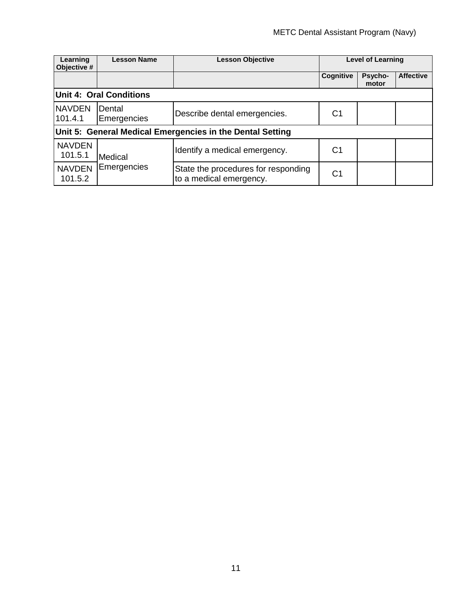| Learning<br>Objective #  | <b>Lesson Name</b>             | <b>Lesson Objective</b>                                        |                  | <b>Level of Learning</b> |                  |  |  |  |  |
|--------------------------|--------------------------------|----------------------------------------------------------------|------------------|--------------------------|------------------|--|--|--|--|
|                          |                                |                                                                | <b>Cognitive</b> | Psycho-<br>motor         | <b>Affective</b> |  |  |  |  |
|                          | <b>Unit 4: Oral Conditions</b> |                                                                |                  |                          |                  |  |  |  |  |
| <b>NAVDEN</b><br>101.4.1 | Dental<br>Emergencies          | Describe dental emergencies.                                   | C <sub>1</sub>   |                          |                  |  |  |  |  |
|                          |                                | Unit 5: General Medical Emergencies in the Dental Setting      |                  |                          |                  |  |  |  |  |
| <b>NAVDEN</b><br>101.5.1 | Medical                        | Identify a medical emergency.                                  | C1               |                          |                  |  |  |  |  |
| <b>NAVDEN</b><br>101.5.2 | Emergencies                    | State the procedures for responding<br>to a medical emergency. | C1               |                          |                  |  |  |  |  |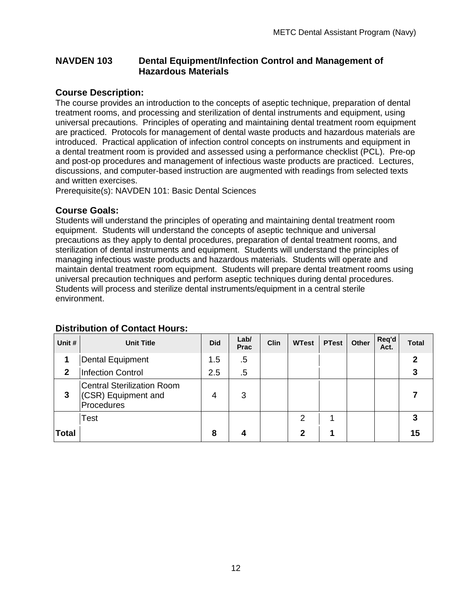#### <span id="page-11-0"></span>**NAVDEN 103 Dental Equipment/Infection Control and Management of Hazardous Materials**

#### **Course Description:**

The course provides an introduction to the concepts of aseptic technique, preparation of dental treatment rooms, and processing and sterilization of dental instruments and equipment, using universal precautions. Principles of operating and maintaining dental treatment room equipment are practiced. Protocols for management of dental waste products and hazardous materials are introduced. Practical application of infection control concepts on instruments and equipment in a dental treatment room is provided and assessed using a performance checklist (PCL). Pre-op and post-op procedures and management of infectious waste products are practiced. Lectures, discussions, and computer-based instruction are augmented with readings from selected texts and written exercises.

Prerequisite(s): NAVDEN 101: Basic Dental Sciences

#### **Course Goals:**

Students will understand the principles of operating and maintaining dental treatment room equipment. Students will understand the concepts of aseptic technique and universal precautions as they apply to dental procedures, preparation of dental treatment rooms, and sterilization of dental instruments and equipment. Students will understand the principles of managing infectious waste products and hazardous materials. Students will operate and maintain dental treatment room equipment. Students will prepare dental treatment rooms using universal precaution techniques and perform aseptic techniques during dental procedures. Students will process and sterilize dental instruments/equipment in a central sterile environment.

| Unit #       | <b>Unit Title</b>                                                      | <b>Did</b> | Lab/<br><b>Prac</b> | <b>Clin</b> | <b>WTest</b> | <b>PTest</b> | <b>Other</b> | Req'd<br>Act. | <b>Total</b> |
|--------------|------------------------------------------------------------------------|------------|---------------------|-------------|--------------|--------------|--------------|---------------|--------------|
|              | Dental Equipment                                                       | 1.5        | $.5\,$              |             |              |              |              |               | 2            |
| $\mathbf{2}$ | <b>Infection Control</b>                                               | 2.5        | $.5\,$              |             |              |              |              |               |              |
| 3            | <b>Central Sterilization Room</b><br>(CSR) Equipment and<br>Procedures | 4          | 3                   |             |              |              |              |               |              |
|              | Test                                                                   |            |                     |             | 2            |              |              |               |              |
| <b>Total</b> |                                                                        | 8          | 4                   |             | 2            |              |              |               | 15           |

#### <span id="page-11-1"></span>**Distribution of Contact Hours:**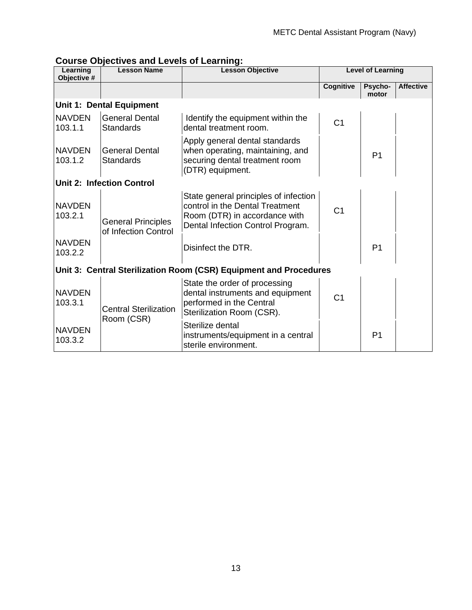<span id="page-12-0"></span>

| Learning<br>Objective #  | <b>Lesson Name</b>                                | <b>Lesson Objective</b>                                                                                                                        |                  | <b>Level of Learning</b> |                  |
|--------------------------|---------------------------------------------------|------------------------------------------------------------------------------------------------------------------------------------------------|------------------|--------------------------|------------------|
|                          |                                                   |                                                                                                                                                | <b>Cognitive</b> | Psycho-<br>motor         | <b>Affective</b> |
|                          | <b>Unit 1: Dental Equipment</b>                   |                                                                                                                                                |                  |                          |                  |
| <b>NAVDEN</b><br>103.1.1 | <b>General Dental</b><br><b>Standards</b>         | Identify the equipment within the<br>dental treatment room.                                                                                    | C <sub>1</sub>   |                          |                  |
| <b>NAVDEN</b><br>103.1.2 | <b>General Dental</b><br><b>Standards</b>         | Apply general dental standards<br>when operating, maintaining, and<br>securing dental treatment room<br>(DTR) equipment.                       |                  | P <sub>1</sub>           |                  |
|                          | <b>Unit 2: Infection Control</b>                  |                                                                                                                                                |                  |                          |                  |
| <b>NAVDEN</b><br>103.2.1 | <b>General Principles</b><br>of Infection Control | State general principles of infection<br>control in the Dental Treatment<br>Room (DTR) in accordance with<br>Dental Infection Control Program. | C <sub>1</sub>   |                          |                  |
| <b>NAVDEN</b><br>103.2.2 |                                                   | Disinfect the DTR.                                                                                                                             |                  | P <sub>1</sub>           |                  |
|                          |                                                   | Unit 3: Central Sterilization Room (CSR) Equipment and Procedures                                                                              |                  |                          |                  |
| <b>NAVDEN</b><br>103.3.1 | <b>Central Sterilization</b><br>Room (CSR)        | State the order of processing<br>dental instruments and equipment<br>performed in the Central<br>Sterilization Room (CSR).                     | C <sub>1</sub>   |                          |                  |
| <b>NAVDEN</b><br>103.3.2 |                                                   | Sterilize dental<br>instruments/equipment in a central<br>sterile environment.                                                                 |                  | P <sub>1</sub>           |                  |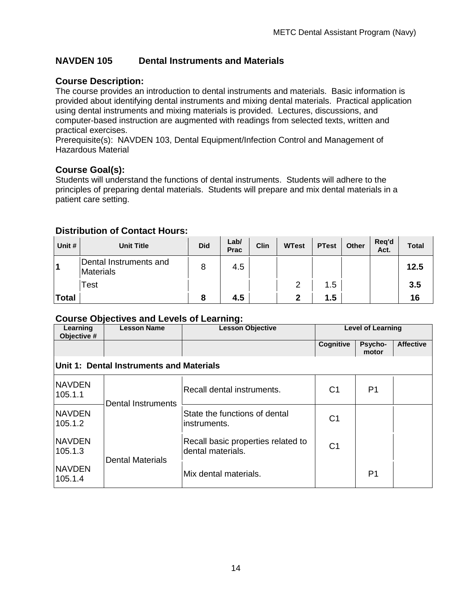### <span id="page-13-0"></span>**NAVDEN 105 Dental Instruments and Materials**

### **Course Description:**

The course provides an introduction to dental instruments and materials. Basic information is provided about identifying dental instruments and mixing dental materials. Practical application using dental instruments and mixing materials is provided. Lectures, discussions, and computer-based instruction are augmented with readings from selected texts, written and practical exercises.

Prerequisite(s): NAVDEN 103, Dental Equipment/Infection Control and Management of Hazardous Material

#### **Course Goal(s):**

Students will understand the functions of dental instruments. Students will adhere to the principles of preparing dental materials. Students will prepare and mix dental materials in a patient care setting.

#### <span id="page-13-1"></span>**Distribution of Contact Hours:**

| Unit #       | <b>Unit Title</b>                   | <b>Did</b> | Lab/<br><b>Prac</b> | Clin | <b>WTest</b> | <b>PTest</b> | Other | Reg'd<br>Act. | <b>Total</b> |
|--------------|-------------------------------------|------------|---------------------|------|--------------|--------------|-------|---------------|--------------|
| 1            | Dental Instruments and<br>Materials |            | 4.5                 |      |              |              |       |               | 12.5         |
|              | <b>Test</b>                         |            |                     |      | 2            | 1.5          |       |               | 3.5          |
| <b>Total</b> |                                     |            | 4.5                 |      | 2            | 1.5          |       |               | 16           |

<span id="page-13-2"></span>

| Learning<br>Objective #                  | <b>Lesson Name</b>        | <b>Lesson Objective</b>                                 | <b>Level of Learning</b> |                  |                  |  |  |  |  |  |  |
|------------------------------------------|---------------------------|---------------------------------------------------------|--------------------------|------------------|------------------|--|--|--|--|--|--|
|                                          |                           |                                                         | Cognitive                | Psycho-<br>motor | <b>Affective</b> |  |  |  |  |  |  |
| Unit 1: Dental Instruments and Materials |                           |                                                         |                          |                  |                  |  |  |  |  |  |  |
| <b>NAVDEN</b><br>105.1.1                 | <b>Dental Instruments</b> | Recall dental instruments.                              | C1                       | P <sub>1</sub>   |                  |  |  |  |  |  |  |
| <b>NAVDEN</b><br>105.1.2                 |                           | State the functions of dental<br>instruments.           | C <sub>1</sub>           |                  |                  |  |  |  |  |  |  |
| <b>NAVDEN</b><br>105.1.3                 | <b>Dental Materials</b>   | Recall basic properties related to<br>dental materials. | C1                       |                  |                  |  |  |  |  |  |  |
| <b>NAVDEN</b><br>105.1.4                 |                           | Mix dental materials.                                   |                          | P1               |                  |  |  |  |  |  |  |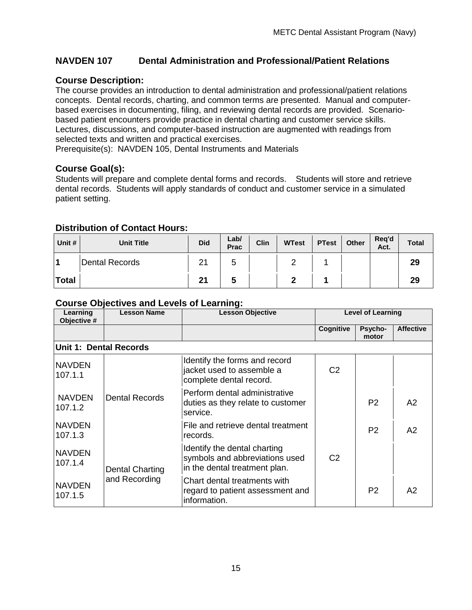### <span id="page-14-0"></span>**NAVDEN 107 Dental Administration and Professional/Patient Relations**

### **Course Description:**

The course provides an introduction to dental administration and professional/patient relations concepts. Dental records, charting, and common terms are presented. Manual and computerbased exercises in documenting, filing, and reviewing dental records are provided. Scenariobased patient encounters provide practice in dental charting and customer service skills. Lectures, discussions, and computer-based instruction are augmented with readings from selected texts and written and practical exercises.

Prerequisite(s): NAVDEN 105, Dental Instruments and Materials

#### **Course Goal(s):**

Students will prepare and complete dental forms and records. Students will store and retrieve dental records. Students will apply standards of conduct and customer service in a simulated patient setting.

### <span id="page-14-1"></span>**Distribution of Contact Hours:**

| Unit #       | <b>Unit Title</b> | <b>Did</b> | Lab/<br>Prac | Clin | <b>WTest</b> | <b>PTest</b> | Other | Reg'd<br>Act. | <b>Total</b> |
|--------------|-------------------|------------|--------------|------|--------------|--------------|-------|---------------|--------------|
| -4           | Dental Records    | n,         | ັ            |      |              |              |       |               | 29           |
| <b>Total</b> |                   | າ.         | w            |      |              |              |       |               | 29           |

<span id="page-14-2"></span>

| Learning<br>Objective #       | <b>Lesson Name</b>     | <b>Lesson Objective</b>                                                                         |                | <b>Level of Learning</b> |                  |
|-------------------------------|------------------------|-------------------------------------------------------------------------------------------------|----------------|--------------------------|------------------|
|                               |                        |                                                                                                 | Cognitive      | Psycho-<br>motor         | <b>Affective</b> |
| <b>Unit 1: Dental Records</b> |                        |                                                                                                 |                |                          |                  |
| <b>NAVDEN</b><br>107.1.1      |                        | Identify the forms and record<br>jacket used to assemble a<br>complete dental record.           | C2             |                          |                  |
| <b>NAVDEN</b><br>107.1.2      | <b>Dental Records</b>  | Perform dental administrative<br>duties as they relate to customer<br>service.                  |                | P <sub>2</sub>           | A2               |
| <b>NAVDEN</b><br>107.1.3      |                        | File and retrieve dental treatment<br>records.                                                  |                | P <sub>2</sub>           | A2               |
| <b>NAVDEN</b><br>107.1.4      | <b>Dental Charting</b> | Identify the dental charting<br>symbols and abbreviations used<br>in the dental treatment plan. | C <sub>2</sub> |                          |                  |
| <b>NAVDEN</b><br>107.1.5      | and Recording          | Chart dental treatments with<br>regard to patient assessment and<br>information.                |                | P <sub>2</sub>           | A2               |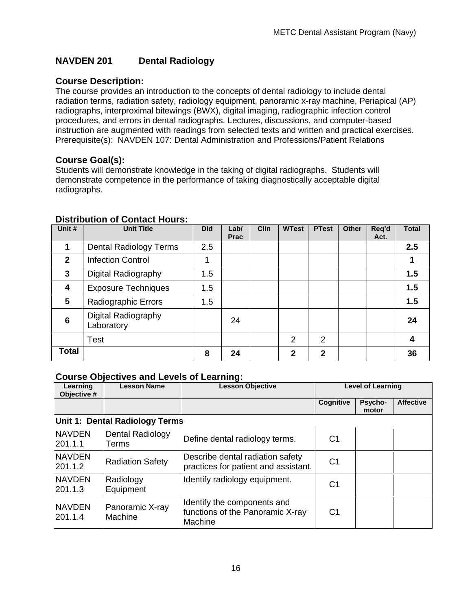### <span id="page-15-0"></span>**NAVDEN 201 Dental Radiology**

### **Course Description:**

The course provides an introduction to the concepts of dental radiology to include dental radiation terms, radiation safety, radiology equipment, panoramic x-ray machine, Periapical (AP) radiographs, interproximal bitewings (BWX), digital imaging, radiographic infection control procedures, and errors in dental radiographs. Lectures, discussions, and computer-based instruction are augmented with readings from selected texts and written and practical exercises. Prerequisite(s): NAVDEN 107: Dental Administration and Professions/Patient Relations

### **Course Goal(s):**

Students will demonstrate knowledge in the taking of digital radiographs. Students will demonstrate competence in the performance of taking diagnostically acceptable digital radiographs.

| Unit #       | <b>Unit Title</b>                 | <b>Did</b> | Lab/<br><b>Prac</b> | <b>Clin</b> | <b>WTest</b> | <b>PTest</b>   | <b>Other</b> | Req'd<br>Act. | <b>Total</b> |
|--------------|-----------------------------------|------------|---------------------|-------------|--------------|----------------|--------------|---------------|--------------|
| 1            | <b>Dental Radiology Terms</b>     | 2.5        |                     |             |              |                |              |               | 2.5          |
| $\mathbf{2}$ | <b>Infection Control</b>          | 1          |                     |             |              |                |              |               |              |
| 3            | Digital Radiography               | 1.5        |                     |             |              |                |              |               | 1.5          |
| 4            | <b>Exposure Techniques</b>        | 1.5        |                     |             |              |                |              |               | 1.5          |
| 5            | <b>Radiographic Errors</b>        | 1.5        |                     |             |              |                |              |               | 1.5          |
| 6            | Digital Radiography<br>Laboratory |            | 24                  |             |              |                |              |               | 24           |
|              | Test                              |            |                     |             | 2            | $\overline{2}$ |              |               | 4            |
| Total        |                                   | 8          | 24                  |             | $\mathbf{2}$ | $\mathbf{2}$   |              |               | 36           |

#### <span id="page-15-1"></span>**Distribution of Contact Hours:**

<span id="page-15-2"></span>

| Learning<br>Objective #   | <b>Lesson Name</b>             | <b>Lesson Objective</b>                                                    |                | <b>Level of Learning</b> |                  |
|---------------------------|--------------------------------|----------------------------------------------------------------------------|----------------|--------------------------|------------------|
|                           |                                |                                                                            | Cognitive      | <b>Psycho-</b><br>motor  | <b>Affective</b> |
|                           | Unit 1: Dental Radiology Terms |                                                                            |                |                          |                  |
| <b>NAVDEN</b><br>201.1.1  | Dental Radiology<br>Terms      | Define dental radiology terms.                                             | C <sub>1</sub> |                          |                  |
| <b>NAVDEN</b><br>201.1.2  | <b>Radiation Safety</b>        | Describe dental radiation safety<br>practices for patient and assistant.   | C <sub>1</sub> |                          |                  |
| <b>NAVDEN</b><br>201.1.3  | Radiology<br>Equipment         | Identify radiology equipment.                                              | C1             |                          |                  |
| <b>NAVDEN</b><br> 201.1.4 | Panoramic X-ray<br>Machine     | Identify the components and<br>functions of the Panoramic X-ray<br>Machine | C <sub>1</sub> |                          |                  |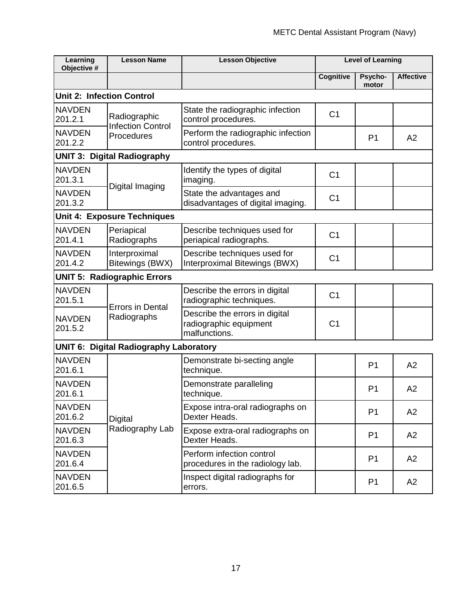| Learning<br>Objective #          | <b>Lesson Name</b>                            | <b>Lesson Objective</b>                                                   |                  | <b>Level of Learning</b> |                  |
|----------------------------------|-----------------------------------------------|---------------------------------------------------------------------------|------------------|--------------------------|------------------|
|                                  |                                               |                                                                           | <b>Cognitive</b> | Psycho-<br>motor         | <b>Affective</b> |
| <b>Unit 2: Infection Control</b> |                                               |                                                                           |                  |                          |                  |
| <b>NAVDEN</b><br>201.2.1         | Radiographic<br><b>Infection Control</b>      | State the radiographic infection<br>control procedures.                   | C <sub>1</sub>   |                          |                  |
| <b>NAVDEN</b><br>201.2.2         | Procedures                                    | Perform the radiographic infection<br>control procedures.                 |                  | P <sub>1</sub>           | A2               |
|                                  | <b>UNIT 3: Digital Radiography</b>            |                                                                           |                  |                          |                  |
| <b>NAVDEN</b><br>201.3.1         | Digital Imaging                               | Identify the types of digital<br>imaging.                                 | C <sub>1</sub>   |                          |                  |
| <b>NAVDEN</b><br>201.3.2         |                                               | State the advantages and<br>disadvantages of digital imaging.             | C <sub>1</sub>   |                          |                  |
|                                  | <b>Unit 4: Exposure Techniques</b>            |                                                                           |                  |                          |                  |
| <b>NAVDEN</b><br>201.4.1         | Periapical<br>Radiographs                     | Describe techniques used for<br>periapical radiographs.                   | C <sub>1</sub>   |                          |                  |
| <b>NAVDEN</b><br>201.4.2         | Interproximal<br>Bitewings (BWX)              | Describe techniques used for<br>Interproximal Bitewings (BWX)             | C <sub>1</sub>   |                          |                  |
|                                  | <b>UNIT 5: Radiographic Errors</b>            |                                                                           |                  |                          |                  |
| <b>NAVDEN</b><br>201.5.1         | <b>Errors in Dental</b>                       | Describe the errors in digital<br>radiographic techniques.                | C <sub>1</sub>   |                          |                  |
| <b>NAVDEN</b><br>201.5.2         | Radiographs                                   | Describe the errors in digital<br>radiographic equipment<br>malfunctions. | C <sub>1</sub>   |                          |                  |
|                                  | <b>UNIT 6: Digital Radiography Laboratory</b> |                                                                           |                  |                          |                  |
| <b>NAVDEN</b><br>201.6.1         |                                               | Demonstrate bi-secting angle<br>technique.                                |                  | P <sub>1</sub>           | A2               |
| <b>NAVDEN</b><br>201.6.1         |                                               | Demonstrate paralleling<br>technique.                                     |                  | P <sub>1</sub>           | A2               |
| <b>NAVDEN</b><br>201.6.2         | Digital                                       | Expose intra-oral radiographs on<br>Dexter Heads.                         |                  | P <sub>1</sub>           | A2               |
| <b>NAVDEN</b><br>201.6.3         | Radiography Lab                               | Expose extra-oral radiographs on<br>Dexter Heads.                         |                  | P <sub>1</sub>           | A2               |
| <b>NAVDEN</b><br>201.6.4         |                                               | Perform infection control<br>procedures in the radiology lab.             |                  | P <sub>1</sub>           | A2               |
| <b>NAVDEN</b><br>201.6.5         |                                               | Inspect digital radiographs for<br>errors.                                |                  | P <sub>1</sub>           | A2               |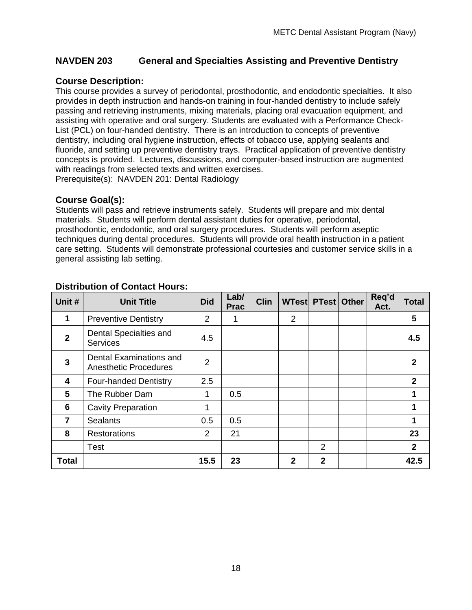### <span id="page-17-0"></span>**NAVDEN 203 General and Specialties Assisting and Preventive Dentistry**

### **Course Description:**

This course provides a survey of periodontal, prosthodontic, and endodontic specialties. It also provides in depth instruction and hands-on training in four-handed dentistry to include safely passing and retrieving instruments, mixing materials, placing oral evacuation equipment, and assisting with operative and oral surgery. Students are evaluated with a Performance Check-List (PCL) on four-handed dentistry. There is an introduction to concepts of preventive dentistry, including oral hygiene instruction, effects of tobacco use, applying sealants and fluoride, and setting up preventive dentistry trays. Practical application of preventive dentistry concepts is provided. Lectures, discussions, and computer-based instruction are augmented with readings from selected texts and written exercises. Prerequisite(s): NAVDEN 201: Dental Radiology

### **Course Goal(s):**

Students will pass and retrieve instruments safely. Students will prepare and mix dental materials. Students will perform dental assistant duties for operative, periodontal, prosthodontic, endodontic, and oral surgery procedures. Students will perform aseptic techniques during dental procedures. Students will provide oral health instruction in a patient care setting. Students will demonstrate professional courtesies and customer service skills in a general assisting lab setting.

| Unit #         | <b>Unit Title</b>                                       | <b>Did</b>     | Lab/<br><b>Prac</b> | <b>Clin</b> |              | WTest PTest Other | Req'd<br>Act. | <b>Total</b> |
|----------------|---------------------------------------------------------|----------------|---------------------|-------------|--------------|-------------------|---------------|--------------|
| 1              | <b>Preventive Dentistry</b>                             | 2              |                     |             | 2            |                   |               | 5            |
| $\overline{2}$ | Dental Specialties and<br><b>Services</b>               | 4.5            |                     |             |              |                   |               | 4.5          |
| $\overline{3}$ | Dental Examinations and<br><b>Anesthetic Procedures</b> | 2              |                     |             |              |                   |               | 2            |
| 4              | <b>Four-handed Dentistry</b>                            | 2.5            |                     |             |              |                   |               | $\mathbf{2}$ |
| 5              | The Rubber Dam                                          | 1              | 0.5                 |             |              |                   |               | 1            |
| 6              | <b>Cavity Preparation</b>                               | 1              |                     |             |              |                   |               | 1            |
| $\overline{7}$ | <b>Sealants</b>                                         | 0.5            | 0.5                 |             |              |                   |               | 1            |
| 8              | Restorations                                            | $\overline{2}$ | 21                  |             |              |                   |               | 23           |
|                | <b>Test</b>                                             |                |                     |             |              | $\overline{2}$    |               | $\mathbf{2}$ |
| <b>Total</b>   |                                                         | 15.5           | 23                  |             | $\mathbf{2}$ | $\overline{2}$    |               | 42.5         |

### <span id="page-17-1"></span>**Distribution of Contact Hours:**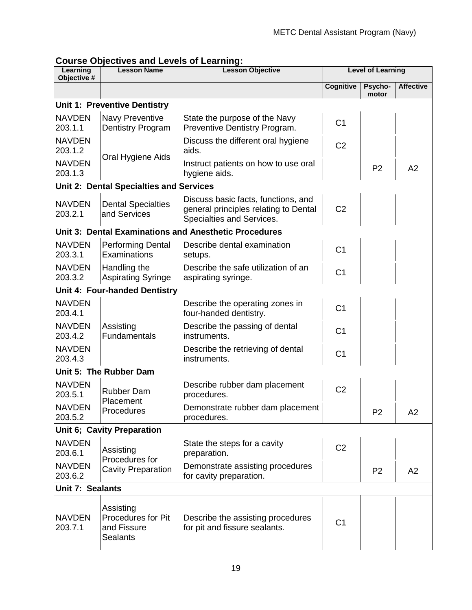<span id="page-18-0"></span>

| Learning<br>Objective #  | <b>Lesson Name</b>                                                | <b>Lesson Objective</b>                                                                                   |                  | <b>Level of Learning</b> |                  |
|--------------------------|-------------------------------------------------------------------|-----------------------------------------------------------------------------------------------------------|------------------|--------------------------|------------------|
|                          |                                                                   |                                                                                                           | <b>Cognitive</b> | Psycho-<br>motor         | <b>Affective</b> |
|                          | <b>Unit 1: Preventive Dentistry</b>                               |                                                                                                           |                  |                          |                  |
| <b>NAVDEN</b><br>203.1.1 | <b>Navy Preventive</b><br>Dentistry Program                       | State the purpose of the Navy<br>Preventive Dentistry Program.                                            | C <sub>1</sub>   |                          |                  |
| <b>NAVDEN</b><br>203.1.2 |                                                                   | Discuss the different oral hygiene<br>aids.                                                               | C <sub>2</sub>   |                          |                  |
| <b>NAVDEN</b><br>203.1.3 | Oral Hygiene Aids                                                 | Instruct patients on how to use oral<br>hygiene aids.                                                     |                  | P <sub>2</sub>           | A2               |
|                          | <b>Unit 2: Dental Specialties and Services</b>                    |                                                                                                           |                  |                          |                  |
| <b>NAVDEN</b><br>203.2.1 | <b>Dental Specialties</b><br>and Services                         | Discuss basic facts, functions, and<br>general principles relating to Dental<br>Specialties and Services. | C <sub>2</sub>   |                          |                  |
|                          |                                                                   | <b>Unit 3: Dental Examinations and Anesthetic Procedures</b>                                              |                  |                          |                  |
| <b>NAVDEN</b><br>203.3.1 | <b>Performing Dental</b><br>Examinations                          | Describe dental examination<br>setups.                                                                    | C <sub>1</sub>   |                          |                  |
| <b>NAVDEN</b><br>203.3.2 | Handling the<br><b>Aspirating Syringe</b>                         | Describe the safe utilization of an<br>aspirating syringe.                                                | C <sub>1</sub>   |                          |                  |
|                          | Unit 4: Four-handed Dentistry                                     |                                                                                                           |                  |                          |                  |
| <b>NAVDEN</b><br>203.4.1 |                                                                   | Describe the operating zones in<br>four-handed dentistry.                                                 | C <sub>1</sub>   |                          |                  |
| <b>NAVDEN</b><br>203.4.2 | Assisting<br>Fundamentals                                         | Describe the passing of dental<br>instruments.                                                            | C <sub>1</sub>   |                          |                  |
| <b>NAVDEN</b><br>203.4.3 |                                                                   | Describe the retrieving of dental<br>instruments.                                                         | C <sub>1</sub>   |                          |                  |
|                          | Unit 5: The Rubber Dam                                            |                                                                                                           |                  |                          |                  |
| <b>NAVDEN</b><br>203.5.1 | <b>Rubber Dam</b><br>Placement                                    | Describe rubber dam placement<br>procedures.                                                              | C <sub>2</sub>   |                          |                  |
| <b>NAVDEN</b><br>203.5.2 | Procedures                                                        | Demonstrate rubber dam placement<br>procedures.                                                           |                  | P <sub>2</sub>           | A <sub>2</sub>   |
|                          | Unit 6; Cavity Preparation                                        |                                                                                                           |                  |                          |                  |
| <b>NAVDEN</b><br>203.6.1 | Assisting<br>Procedures for                                       | State the steps for a cavity<br>preparation.                                                              | C <sub>2</sub>   |                          |                  |
| <b>NAVDEN</b><br>203.6.2 | <b>Cavity Preparation</b>                                         | Demonstrate assisting procedures<br>for cavity preparation.                                               |                  | P <sub>2</sub>           | A2               |
| Unit 7: Sealants         |                                                                   |                                                                                                           |                  |                          |                  |
| <b>NAVDEN</b><br>203.7.1 | Assisting<br>Procedures for Pit<br>and Fissure<br><b>Sealants</b> | Describe the assisting procedures<br>for pit and fissure sealants.                                        | C <sub>1</sub>   |                          |                  |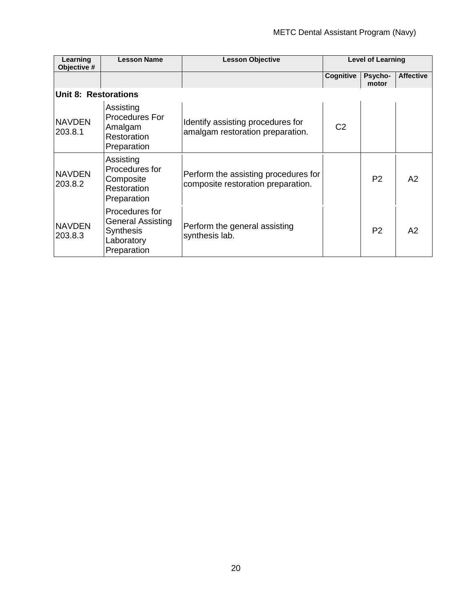| Learning<br>Objective #     | <b>Lesson Name</b>                                                                          | <b>Lesson Objective</b>                                                    |                | <b>Level of Learning</b> |                  |
|-----------------------------|---------------------------------------------------------------------------------------------|----------------------------------------------------------------------------|----------------|--------------------------|------------------|
|                             |                                                                                             |                                                                            | Cognitive      | Psycho-<br>motor         | <b>Affective</b> |
| <b>Unit 8: Restorations</b> |                                                                                             |                                                                            |                |                          |                  |
| <b>NAVDEN</b><br>203.8.1    | Assisting<br>Procedures For<br>Amalgam<br>Restoration<br>Preparation                        | Identify assisting procedures for<br>amalgam restoration preparation.      | C <sub>2</sub> |                          |                  |
| <b>NAVDEN</b><br>203.8.2    | Assisting<br>Procedures for<br>Composite<br>Restoration<br>Preparation                      | Perform the assisting procedures for<br>composite restoration preparation. |                | P <sub>2</sub>           | A2               |
| <b>NAVDEN</b><br>203.8.3    | Procedures for<br><b>General Assisting</b><br><b>Synthesis</b><br>Laboratory<br>Preparation | Perform the general assisting<br>synthesis lab.                            |                | P <sub>2</sub>           | A2               |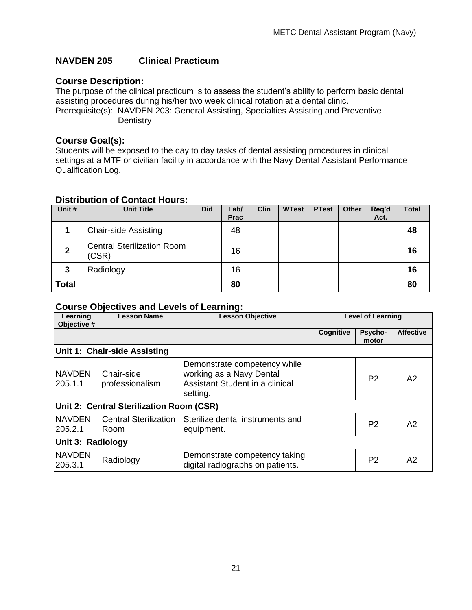### <span id="page-20-0"></span>**NAVDEN 205 Clinical Practicum**

### **Course Description:**

The purpose of the clinical practicum is to assess the student's ability to perform basic dental assisting procedures during his/her two week clinical rotation at a dental clinic. Prerequisite(s): NAVDEN 203: General Assisting, Specialties Assisting and Preventive **Dentistry** 

#### **Course Goal(s):**

Students will be exposed to the day to day tasks of dental assisting procedures in clinical settings at a MTF or civilian facility in accordance with the Navy Dental Assistant Performance Qualification Log.

### <span id="page-20-1"></span>**Distribution of Contact Hours:**

| Unit #         | <b>Unit Title</b>                          | <b>Did</b> | Lab/<br>Prac | <b>Clin</b> | <b>WTest</b> | <b>PTest</b> | <b>Other</b> | Req'd<br>Act. | <b>Total</b> |
|----------------|--------------------------------------------|------------|--------------|-------------|--------------|--------------|--------------|---------------|--------------|
| 4              | <b>Chair-side Assisting</b>                |            | 48           |             |              |              |              |               | 48           |
| $\overline{2}$ | <b>Central Sterilization Room</b><br>(CSR) |            | 16           |             |              |              |              |               | 16           |
| 3              | Radiology                                  |            | 16           |             |              |              |              |               | 16           |
| Total          |                                            |            | 80           |             |              |              |              |               | 80           |

<span id="page-20-2"></span>

| Learning<br>Objective #  | <b>Lesson Name</b>                       | <b>Lesson Objective</b>                                                                                 |           | Level of Learning |                  |  |  |  |  |  |
|--------------------------|------------------------------------------|---------------------------------------------------------------------------------------------------------|-----------|-------------------|------------------|--|--|--|--|--|
|                          |                                          |                                                                                                         | Cognitive | Psycho-<br>motor  | <b>Affective</b> |  |  |  |  |  |
|                          | Unit 1: Chair-side Assisting             |                                                                                                         |           |                   |                  |  |  |  |  |  |
| <b>NAVDEN</b><br>205.1.1 | Chair-side<br>professionalism            | Demonstrate competency while<br>working as a Navy Dental<br>Assistant Student in a clinical<br>setting. |           | P <sub>2</sub>    | A2               |  |  |  |  |  |
|                          | Unit 2: Central Sterilization Room (CSR) |                                                                                                         |           |                   |                  |  |  |  |  |  |
| <b>NAVDEN</b><br>205.2.1 | <b>Central Sterilization</b><br>Room     | Sterilize dental instruments and<br>equipment.                                                          |           | P <sub>2</sub>    | A2               |  |  |  |  |  |
| Unit 3: Radiology        |                                          |                                                                                                         |           |                   |                  |  |  |  |  |  |
| <b>NAVDEN</b><br>205.3.1 | Radiology                                | Demonstrate competency taking<br>digital radiographs on patients.                                       |           | P <sub>2</sub>    | A2               |  |  |  |  |  |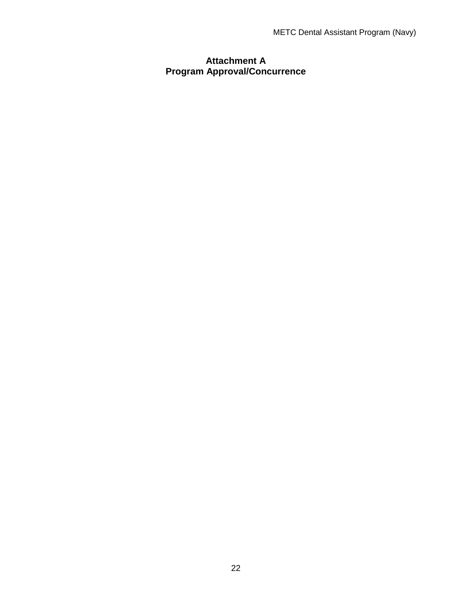### <span id="page-21-1"></span><span id="page-21-0"></span>**Attachment A Program Approval/Concurrence**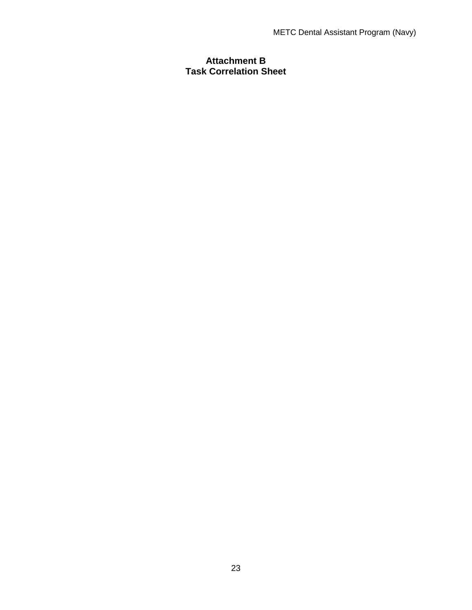### <span id="page-22-1"></span><span id="page-22-0"></span>**Attachment B Task Correlation Sheet**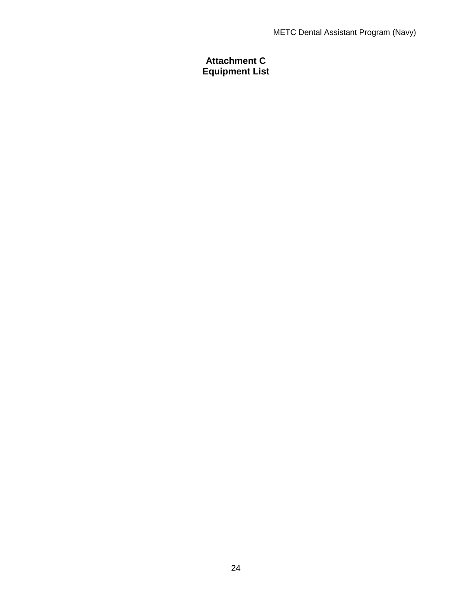### <span id="page-23-1"></span><span id="page-23-0"></span>**Attachment C Equipment List**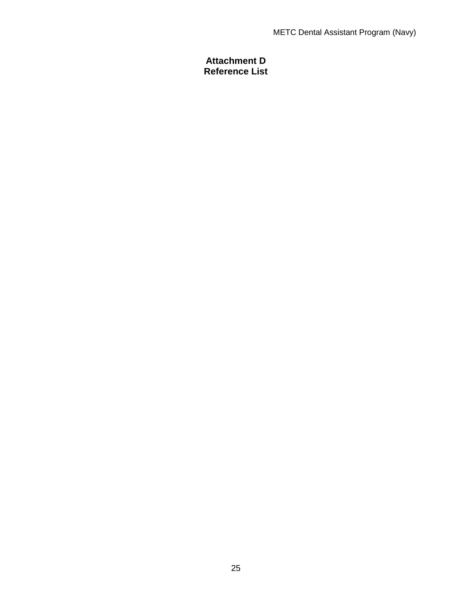### <span id="page-24-0"></span>**Attachment D Reference List**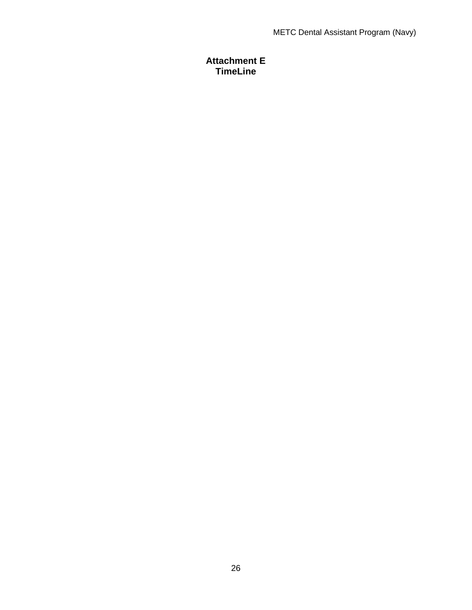### <span id="page-25-0"></span>**Attachment E TimeLine**